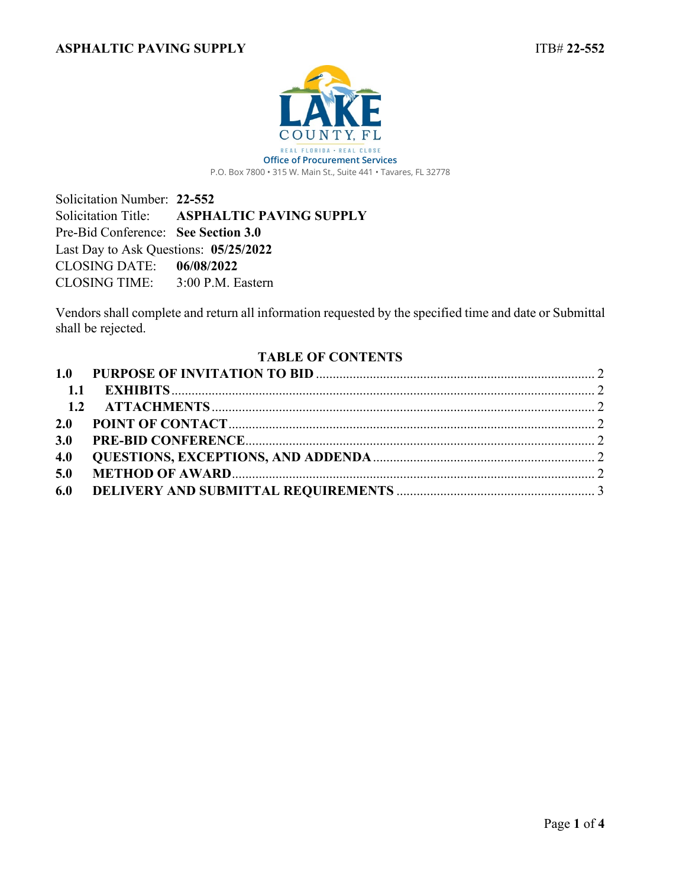

<span id="page-0-0"></span>P.O. Box 7800 • 315 W. Main St., Suite 441 • Tavares, FL 32778

Solicitation Number: **22-552** Solicitation Title: **ASPHALTIC PAVING SUPPLY** Pre-Bid Conference: **See Section 3.0** Last Day to Ask Questions: **05/25/2022** CLOSING DATE: **06/08/2022** CLOSING TIME: 3:00 P.M. Eastern

Vendors shall complete and return all information requested by the specified time and date or Submittal shall be rejected.

## **TABLE OF CONTENTS**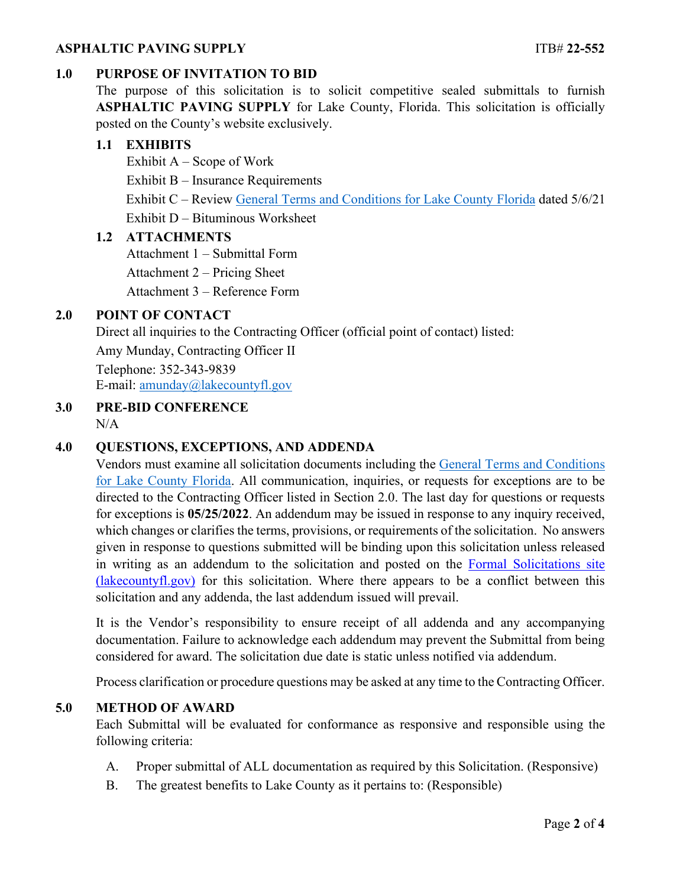### **ASPHALTIC PAVING SUPPLY ITB# 22-552**

## <span id="page-1-0"></span>**1.0 PURPOSE OF INVITATION TO BID**

The purpose of this solicitation is to solicit competitive sealed submittals to furnish **ASPHALTIC PAVING SUPPLY** for Lake County, Florida. This solicitation is officially posted on the County's website exclusively.

#### <span id="page-1-1"></span>**1.1 EXHIBITS**

Exhibit  $A -$  Scope of Work Exhibit B – Insurance Requirements Exhibit C – Review [General Terms and Conditions for Lake County Florida](https://lakeumbraco.azurewebsites.net/media/krwgfnt0/general-terms-and-conditions-v-5-6-21-ada.pdf) dated 5/6/21 Exhibit D – Bituminous Worksheet

### <span id="page-1-2"></span>**1.2 ATTACHMENTS**

Attachment 1 – Submittal Form

Attachment 2 – Pricing Sheet

Attachment 3 – Reference Form

## <span id="page-1-3"></span>**2.0 POINT OF CONTACT**

Direct all inquiries to the Contracting Officer (official point of contact) listed:

Amy Munday, Contracting Officer II

Telephone: 352-343-9839 E-mail: [amunday@lakecountyfl.gov](mailto:amunday@lakecountyfl.gov)

# <span id="page-1-4"></span>**3.0 PRE-BID CONFERENCE**

N/A

### <span id="page-1-5"></span>**4.0 QUESTIONS, EXCEPTIONS, AND ADDENDA**

Vendors must examine all solicitation documents including the [General Terms and Conditions](https://lakeumbraco.azurewebsites.net/media/krwgfnt0/general-terms-and-conditions-v-5-6-21-ada.pdf)  [for Lake County Florida.](https://lakeumbraco.azurewebsites.net/media/krwgfnt0/general-terms-and-conditions-v-5-6-21-ada.pdf) All communication, inquiries, or requests for exceptions are to be directed to the Contracting Officer listed in Section [2.0.](#page-1-3) The last day for questions or requests for exceptions is **[05/25/2022](#page-0-0)**. An addendum may be issued in response to any inquiry received, which changes or clarifies the terms, provisions, or requirements of the solicitation. No answers given in response to questions submitted will be binding upon this solicitation unless released in writing as an addendum to the solicitation and posted on the [Formal Solicitations site](https://c.lakecountyfl.gov/offices/procurement_services/view_all_bids.aspx?mylakefl=True)  [\(lakecountyfl.gov\)](https://c.lakecountyfl.gov/offices/procurement_services/view_all_bids.aspx?mylakefl=True) for this solicitation. Where there appears to be a conflict between this solicitation and any addenda, the last addendum issued will prevail.

It is the Vendor's responsibility to ensure receipt of all addenda and any accompanying documentation. Failure to acknowledge each addendum may prevent the Submittal from being considered for award. The solicitation due date is static unless notified via addendum.

Process clarification or procedure questions may be asked at any time to the Contracting Officer.

### <span id="page-1-6"></span>**5.0 METHOD OF AWARD**

Each Submittal will be evaluated for conformance as responsive and responsible using the following criteria:

- A. Proper submittal of ALL documentation as required by this Solicitation. (Responsive)
- B. The greatest benefits to Lake County as it pertains to: (Responsible)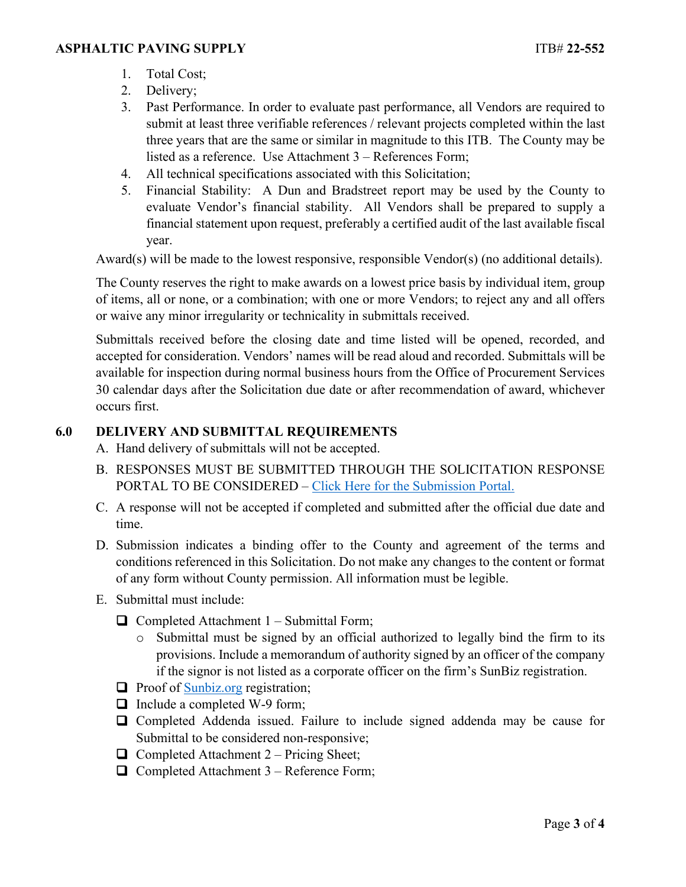- 1. Total Cost;
- 2. Delivery;
- 3. Past Performance. In order to evaluate past performance, all Vendors are required to submit at least three verifiable references / relevant projects completed within the last three years that are the same or similar in magnitude to this ITB. The County may be listed as a reference. Use Attachment 3 – References Form;
- 4. All technical specifications associated with this Solicitation;
- 5. Financial Stability: A Dun and Bradstreet report may be used by the County to evaluate Vendor's financial stability. All Vendors shall be prepared to supply a financial statement upon request, preferably a certified audit of the last available fiscal year.

Award(s) will be made to the lowest responsive, responsible Vendor(s) (no additional details).

The County reserves the right to make awards on a lowest price basis by individual item, group of items, all or none, or a combination; with one or more Vendors; to reject any and all offers or waive any minor irregularity or technicality in submittals received.

Submittals received before the closing date and time listed will be opened, recorded, and accepted for consideration. Vendors' names will be read aloud and recorded. Submittals will be available for inspection during normal business hours from the Office of Procurement Services 30 calendar days after the Solicitation due date or after recommendation of award, whichever occurs first.

# <span id="page-2-0"></span>**6.0 DELIVERY AND SUBMITTAL REQUIREMENTS**

A. Hand delivery of submittals will not be accepted.

- B. RESPONSES MUST BE SUBMITTED THROUGH THE SOLICITATION RESPONSE PORTAL TO BE CONSIDERED – [Click Here for the Submission Portal.](https://procurement.lakecountyfl.gov/login)
- C. A response will not be accepted if completed and submitted after the official due date and time.
- D. Submission indicates a binding offer to the County and agreement of the terms and conditions referenced in this Solicitation. Do not make any changes to the content or format of any form without County permission. All information must be legible.
- E. Submittal must include:
	- $\Box$  Completed Attachment 1 Submittal Form;
		- o Submittal must be signed by an official authorized to legally bind the firm to its provisions. Include a memorandum of authority signed by an officer of the company if the signor is not listed as a corporate officer on the firm's SunBiz registration.
	- $\Box$  Proof of [Sunbiz.org](https://dos.myflorida.com/sunbiz/) registration;
	- $\Box$  Include a completed W-9 form;
	- Completed Addenda issued. Failure to include signed addenda may be cause for Submittal to be considered non-responsive;
	- $\Box$  Completed Attachment 2 Pricing Sheet;
	- $\Box$  Completed Attachment 3 Reference Form;